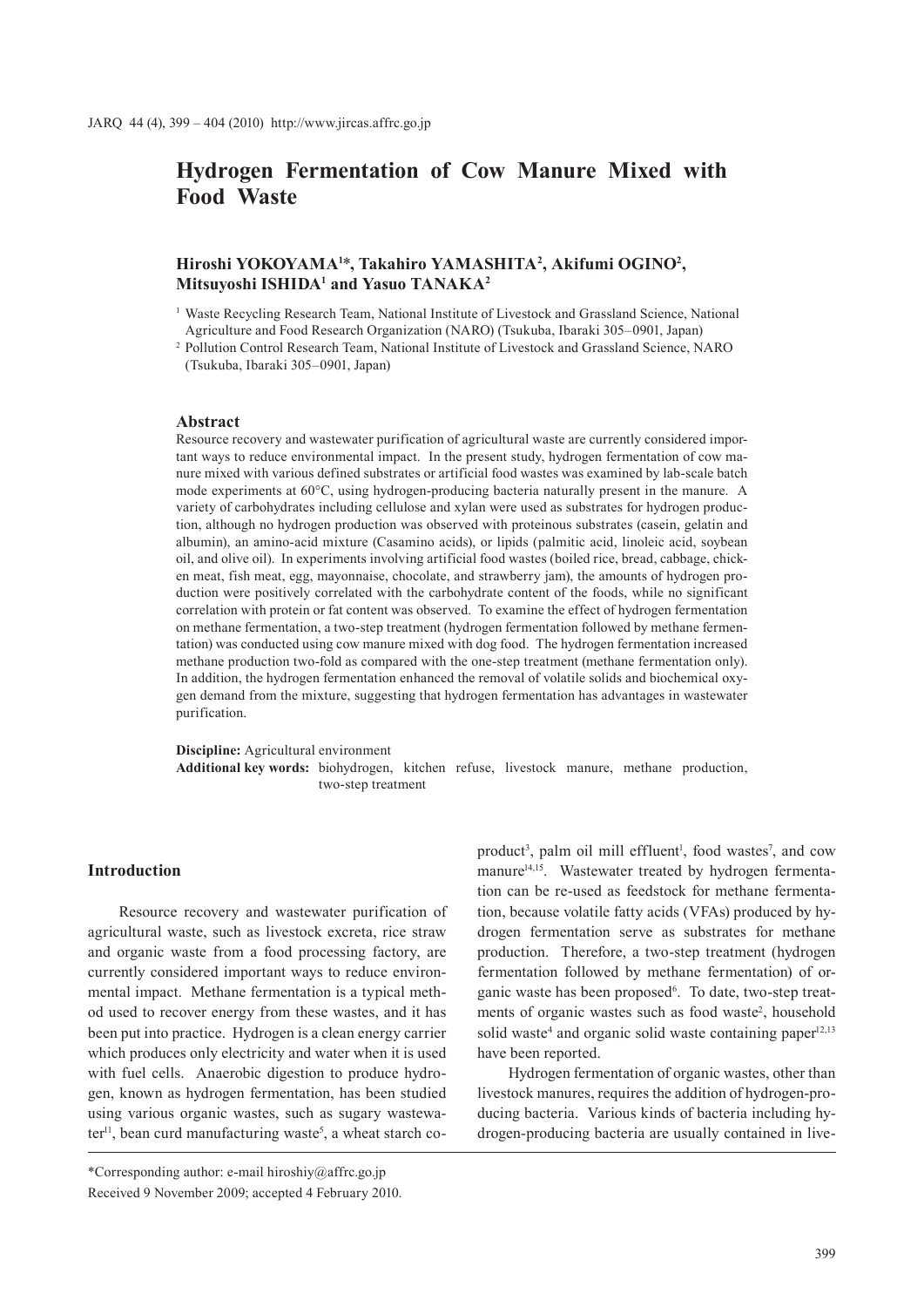# **Hydrogen Fermentation of Cow Manure Mixed with Food Waste**

# **Hiroshi YOKOYAMA1** \***, Takahiro YAMASHITA2 , Akifumi OGINO2 , Mitsuyoshi ISHIDA1 and Yasuo TANAKA2**

<sup>1</sup> Waste Recycling Research Team, National Institute of Livestock and Grassland Science, National Agriculture and Food Research Organization (NARO) (Tsukuba, Ibaraki 305–0901, Japan)

<sup>2</sup> Pollution Control Research Team, National Institute of Livestock and Grassland Science, NARO (Tsukuba, Ibaraki 305–0901, Japan)

#### **Abstract**

Resource recovery and wastewater purification of agricultural waste are currently considered important ways to reduce environmental impact. In the present study, hydrogen fermentation of cow manure mixed with various defined substrates or artificial food wastes was examined by lab-scale batch mode experiments at 60°C, using hydrogen-producing bacteria naturally present in the manure. A variety of carbohydrates including cellulose and xylan were used as substrates for hydrogen production, although no hydrogen production was observed with proteinous substrates (casein, gelatin and albumin), an amino-acid mixture (Casamino acids), or lipids (palmitic acid, linoleic acid, soybean oil, and olive oil). In experiments involving artificial food wastes (boiled rice, bread, cabbage, chicken meat, fish meat, egg, mayonnaise, chocolate, and strawberry jam), the amounts of hydrogen production were positively correlated with the carbohydrate content of the foods, while no significant correlation with protein or fat content was observed. To examine the effect of hydrogen fermentation on methane fermentation, a two-step treatment (hydrogen fermentation followed by methane fermentation) was conducted using cow manure mixed with dog food. The hydrogen fermentation increased methane production two-fold as compared with the one-step treatment (methane fermentation only). In addition, the hydrogen fermentation enhanced the removal of volatile solids and biochemical oxygen demand from the mixture, suggesting that hydrogen fermentation has advantages in wastewater purification.

**Discipline:** Agricultural environment **Additional key words:** biohydrogen, kitchen refuse, livestock manure, methane production, two-step treatment

#### **Introduction**

Resource recovery and wastewater purification of agricultural waste, such as livestock excreta, rice straw and organic waste from a food processing factory, are currently considered important ways to reduce environmental impact. Methane fermentation is a typical method used to recover energy from these wastes, and it has been put into practice. Hydrogen is a clean energy carrier which produces only electricity and water when it is used with fuel cells. Anaerobic digestion to produce hydrogen, known as hydrogen fermentation, has been studied using various organic wastes, such as sugary wastewater<sup>11</sup>, bean curd manufacturing waste<sup>5</sup>, a wheat starch coproduct<sup>3</sup>, palm oil mill effluent<sup>1</sup>, food wastes<sup>7</sup>, and cow manure<sup>14,15</sup>. Wastewater treated by hydrogen fermentation can be re-used as feedstock for methane fermentation, because volatile fatty acids (VFAs) produced by hydrogen fermentation serve as substrates for methane production. Therefore, a two-step treatment (hydrogen fermentation followed by methane fermentation) of organic waste has been proposed<sup>6</sup>. To date, two-step treatments of organic wastes such as food waste<sup>2</sup>, household solid waste<sup>4</sup> and organic solid waste containing paper<sup>12,13</sup> have been reported.

Hydrogen fermentation of organic wastes, other than livestock manures, requires the addition of hydrogen-producing bacteria. Various kinds of bacteria including hydrogen-producing bacteria are usually contained in live-

<sup>\*</sup>Corresponding author: e-mail hiroshiy@affrc.go.jp Received 9 November 2009; accepted 4 February 2010.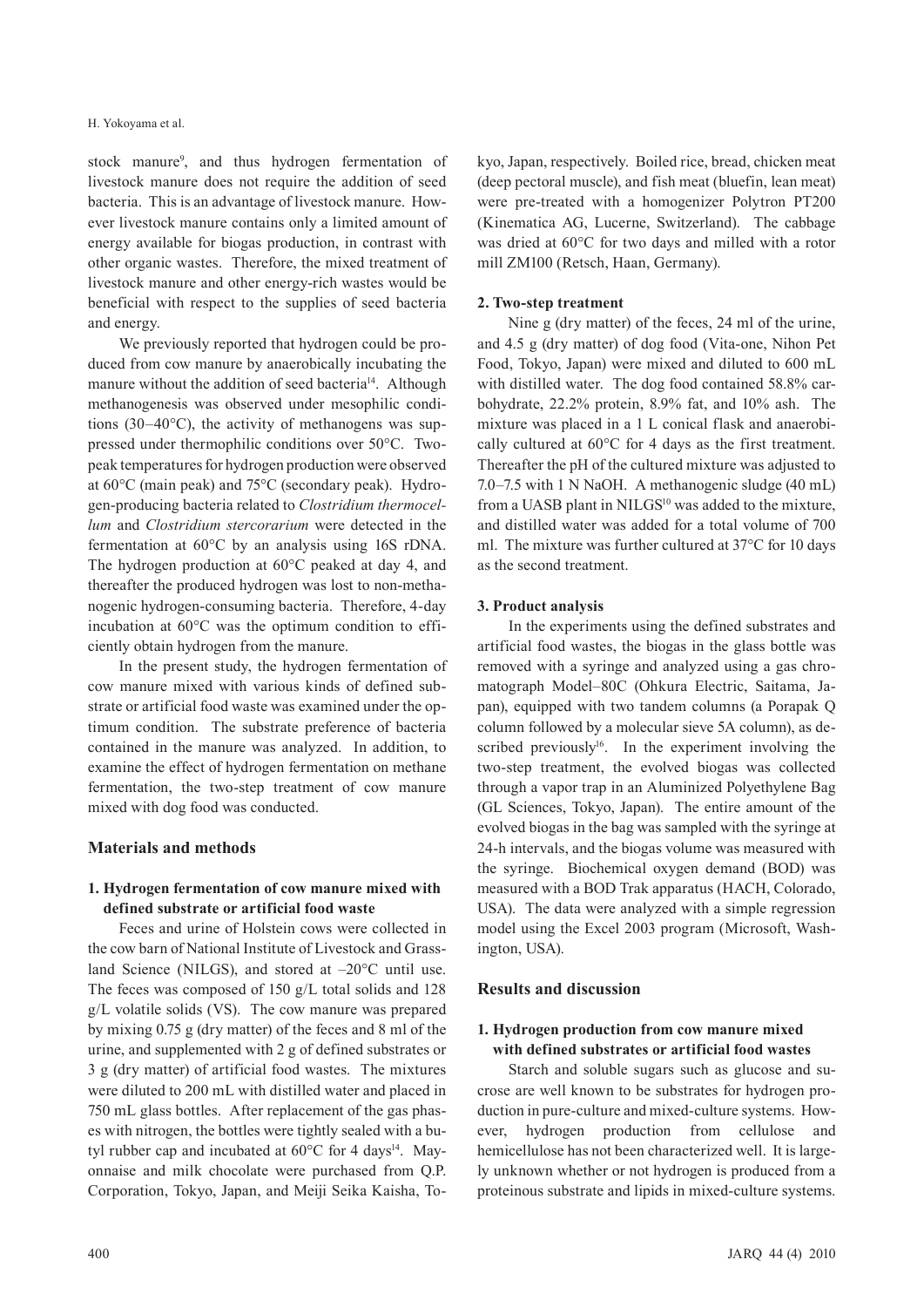stock manure<sup>9</sup>, and thus hydrogen fermentation of livestock manure does not require the addition of seed bacteria. This is an advantage of livestock manure. However livestock manure contains only a limited amount of energy available for biogas production, in contrast with other organic wastes. Therefore, the mixed treatment of livestock manure and other energy-rich wastes would be beneficial with respect to the supplies of seed bacteria and energy.

We previously reported that hydrogen could be produced from cow manure by anaerobically incubating the manure without the addition of seed bacteria<sup>14</sup>. Although methanogenesis was observed under mesophilic conditions (30–40°C), the activity of methanogens was suppressed under thermophilic conditions over 50°C. Twopeak temperatures for hydrogen production were observed at 60°C (main peak) and 75°C (secondary peak). Hydrogen-producing bacteria related to *Clostridium thermocellum* and *Clostridium stercorarium* were detected in the fermentation at 60°C by an analysis using 16S rDNA. The hydrogen production at 60°C peaked at day 4, and thereafter the produced hydrogen was lost to non-methanogenic hydrogen-consuming bacteria. Therefore, 4-day incubation at 60°C was the optimum condition to efficiently obtain hydrogen from the manure.

In the present study, the hydrogen fermentation of cow manure mixed with various kinds of defined substrate or artificial food waste was examined under the optimum condition. The substrate preference of bacteria contained in the manure was analyzed. In addition, to examine the effect of hydrogen fermentation on methane fermentation, the two-step treatment of cow manure mixed with dog food was conducted.

## **Materials and methods**

# **1. Hydrogen fermentation of cow manure mixed with defined substrate or artificial food waste**

Feces and urine of Holstein cows were collected in the cow barn of National Institute of Livestock and Grassland Science (NILGS), and stored at  $-20^{\circ}$ C until use. The feces was composed of 150 g/L total solids and 128 g/L volatile solids (VS). The cow manure was prepared by mixing 0.75 g (dry matter) of the feces and 8 ml of the urine, and supplemented with 2 g of defined substrates or 3 g (dry matter) of artificial food wastes. The mixtures were diluted to 200 mL with distilled water and placed in 750 mL glass bottles. After replacement of the gas phases with nitrogen, the bottles were tightly sealed with a butyl rubber cap and incubated at  $60^{\circ}$ C for 4 days<sup>14</sup>. Mayonnaise and milk chocolate were purchased from Q.P. Corporation, Tokyo, Japan, and Meiji Seika Kaisha, Tokyo, Japan, respectively. Boiled rice, bread, chicken meat (deep pectoral muscle), and fish meat (bluefin, lean meat) were pre-treated with a homogenizer Polytron PT200 (Kinematica AG, Lucerne, Switzerland). The cabbage was dried at 60°C for two days and milled with a rotor mill ZM100 (Retsch, Haan, Germany).

### **2. Two-step treatment**

Nine g (dry matter) of the feces, 24 ml of the urine, and 4.5 g (dry matter) of dog food (Vita-one, Nihon Pet Food, Tokyo, Japan) were mixed and diluted to 600 mL with distilled water. The dog food contained 58.8% carbohydrate, 22.2% protein, 8.9% fat, and 10% ash. The mixture was placed in a 1 L conical flask and anaerobically cultured at 60°C for 4 days as the first treatment. Thereafter the pH of the cultured mixture was adjusted to 7.0–7.5 with 1 N NaOH. A methanogenic sludge (40 mL) from a UASB plant in NILGS<sup>10</sup> was added to the mixture, and distilled water was added for a total volume of 700 ml. The mixture was further cultured at 37°C for 10 days as the second treatment.

### **3. Product analysis**

In the experiments using the defined substrates and artificial food wastes, the biogas in the glass bottle was removed with a syringe and analyzed using a gas chromatograph Model–80C (Ohkura Electric, Saitama, Japan), equipped with two tandem columns (a Porapak Q column followed by a molecular sieve 5A column), as described previously<sup>16</sup>. In the experiment involving the two-step treatment, the evolved biogas was collected through a vapor trap in an Aluminized Polyethylene Bag (GL Sciences, Tokyo, Japan). The entire amount of the evolved biogas in the bag was sampled with the syringe at 24-h intervals, and the biogas volume was measured with the syringe. Biochemical oxygen demand (BOD) was measured with a BOD Trak apparatus (HACH, Colorado, USA). The data were analyzed with a simple regression model using the Excel 2003 program (Microsoft, Washington, USA).

#### **Results and discussion**

## **1. Hydrogen production from cow manure mixed with defined substrates or artificial food wastes**

Starch and soluble sugars such as glucose and sucrose are well known to be substrates for hydrogen production in pure-culture and mixed-culture systems. However, hydrogen production from cellulose and hemicellulose has not been characterized well. It is largely unknown whether or not hydrogen is produced from a proteinous substrate and lipids in mixed-culture systems.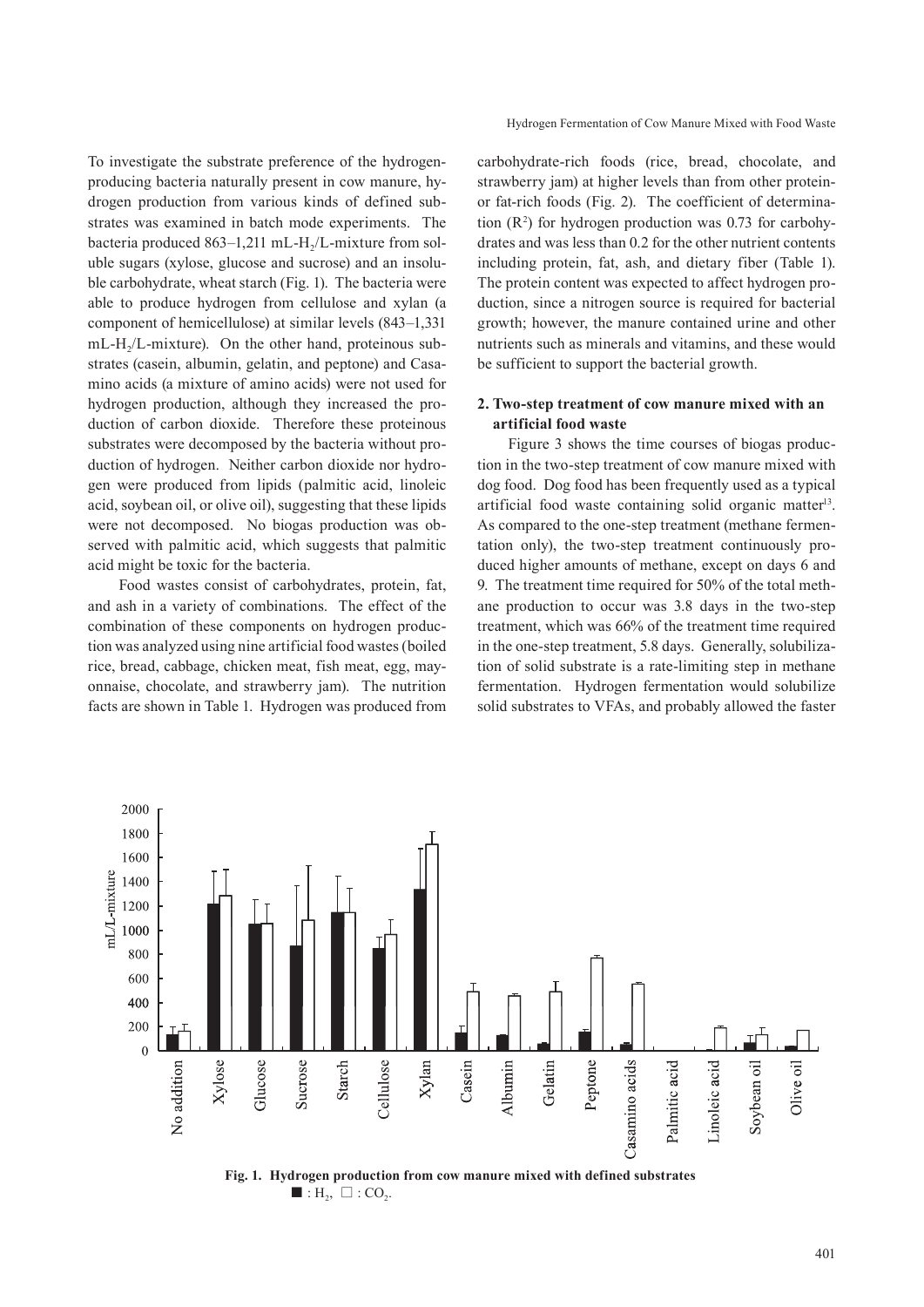To investigate the substrate preference of the hydrogenproducing bacteria naturally present in cow manure, hydrogen production from various kinds of defined substrates was examined in batch mode experiments. The bacteria produced  $863-1,211$  mL-H<sub>2</sub>/L-mixture from soluble sugars (xylose, glucose and sucrose) and an insoluble carbohydrate, wheat starch (Fig. 1). The bacteria were able to produce hydrogen from cellulose and xylan (a component of hemicellulose) at similar levels (843–1,331  $mL-H<sub>2</sub>/L-mixture$ ). On the other hand, proteinous substrates (casein, albumin, gelatin, and peptone) and Casamino acids (a mixture of amino acids) were not used for hydrogen production, although they increased the production of carbon dioxide. Therefore these proteinous substrates were decomposed by the bacteria without production of hydrogen. Neither carbon dioxide nor hydrogen were produced from lipids (palmitic acid, linoleic acid, soybean oil, or olive oil), suggesting that these lipids were not decomposed. No biogas production was observed with palmitic acid, which suggests that palmitic acid might be toxic for the bacteria.

Food wastes consist of carbohydrates, protein, fat, and ash in a variety of combinations. The effect of the combination of these components on hydrogen production was analyzed using nine artificial food wastes (boiled rice, bread, cabbage, chicken meat, fish meat, egg, mayonnaise, chocolate, and strawberry jam). The nutrition facts are shown in Table 1. Hydrogen was produced from carbohydrate-rich foods (rice, bread, chocolate, and strawberry jam) at higher levels than from other proteinor fat-rich foods (Fig. 2). The coefficient of determination  $(R^2)$  for hydrogen production was 0.73 for carbohydrates and was less than 0.2 for the other nutrient contents including protein, fat, ash, and dietary fiber (Table 1). The protein content was expected to affect hydrogen production, since a nitrogen source is required for bacterial growth; however, the manure contained urine and other nutrients such as minerals and vitamins, and these would be sufficient to support the bacterial growth.

# **2. Two-step treatment of cow manure mixed with an artificial food waste**

Figure 3 shows the time courses of biogas production in the two-step treatment of cow manure mixed with dog food. Dog food has been frequently used as a typical artificial food waste containing solid organic matter13. As compared to the one-step treatment (methane fermentation only), the two-step treatment continuously produced higher amounts of methane, except on days 6 and 9. The treatment time required for 50% of the total methane production to occur was 3.8 days in the two-step treatment, which was 66% of the treatment time required in the one-step treatment, 5.8 days. Generally, solubilization of solid substrate is a rate-limiting step in methane fermentation. Hydrogen fermentation would solubilize solid substrates to VFAs, and probably allowed the faster



**Fig. 1. Hydrogen production from cow manure mixed with defined substrates**  $\blacksquare$  : H<sub>2</sub>,  $\Box$  : CO<sub>2</sub>.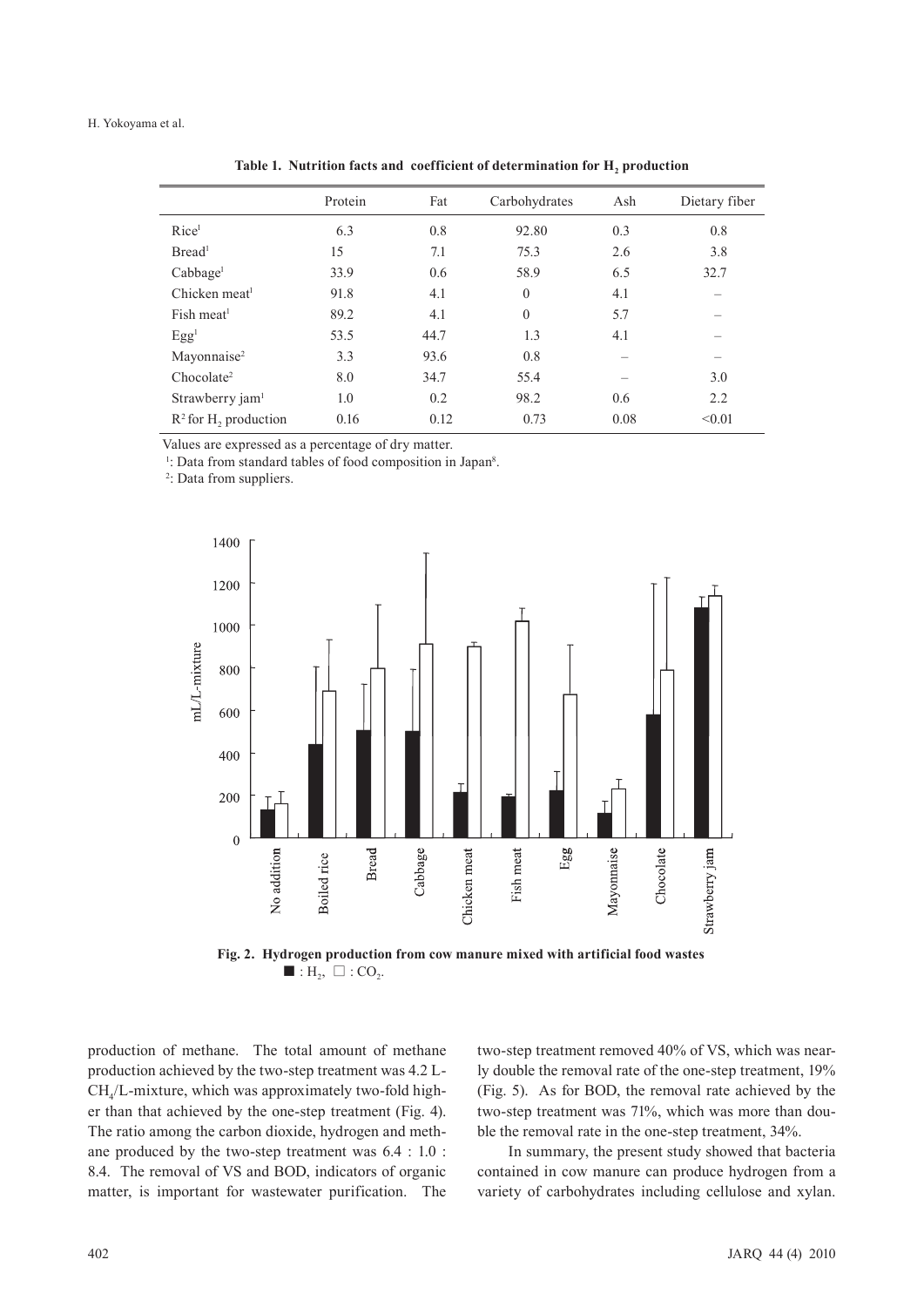#### H. Yokoyama et al.

|                                     | Protein | Fat  | Carbohydrates | Ash  | Dietary fiber |
|-------------------------------------|---------|------|---------------|------|---------------|
| Rice <sup>1</sup>                   | 6.3     | 0.8  | 92.80         | 0.3  | 0.8           |
| Bread <sup>1</sup>                  | 15      | 7.1  | 75.3          | 2.6  | 3.8           |
| Cabbage <sup>1</sup>                | 33.9    | 0.6  | 58.9          | 6.5  | 32.7          |
| Chicken meat <sup>1</sup>           | 91.8    | 4.1  | $\theta$      | 4.1  |               |
| Fish meat <sup>1</sup>              | 89.2    | 4.1  | $\theta$      | 5.7  |               |
| Egg <sup>1</sup>                    | 53.5    | 44.7 | 1.3           | 4.1  |               |
| Mayonnaise <sup>2</sup>             | 3.3     | 93.6 | 0.8           |      |               |
| Chocolate <sup>2</sup>              | 8.0     | 34.7 | 55.4          |      | 3.0           |
| Strawberry jam <sup>1</sup>         | 1.0     | 0.2  | 98.2          | 0.6  | 2.2           |
| $R^2$ for H <sub>2</sub> production | 0.16    | 0.12 | 0.73          | 0.08 | < 0.01        |
|                                     |         |      |               |      |               |

Table 1. Nutrition facts and coefficient of determination for H<sub>2</sub> production

Values are expressed as a percentage of dry matter.

<sup>1</sup>: Data from standard tables of food composition in Japan<sup>8</sup>.<br><sup>2</sup>: Data from suppliers

<sup>2</sup>: Data from suppliers.



**Fig. 2. Hydrogen production from cow manure mixed with artificial food wastes** ■ :  $H_2$ ,  $\Box$  :  $CO_2$ .

production of methane. The total amount of methane production achieved by the two-step treatment was 4.2 L-CH4/L-mixture, which was approximately two-fold higher than that achieved by the one-step treatment (Fig. 4). The ratio among the carbon dioxide, hydrogen and methane produced by the two-step treatment was 6.4 : 1.0 : 8.4. The removal of VS and BOD, indicators of organic matter, is important for wastewater purification. The

two-step treatment removed 40% of VS, which was nearly double the removal rate of the one-step treatment, 19% (Fig. 5). As for BOD, the removal rate achieved by the two-step treatment was 71%, which was more than double the removal rate in the one-step treatment, 34%.

In summary, the present study showed that bacteria contained in cow manure can produce hydrogen from a variety of carbohydrates including cellulose and xylan.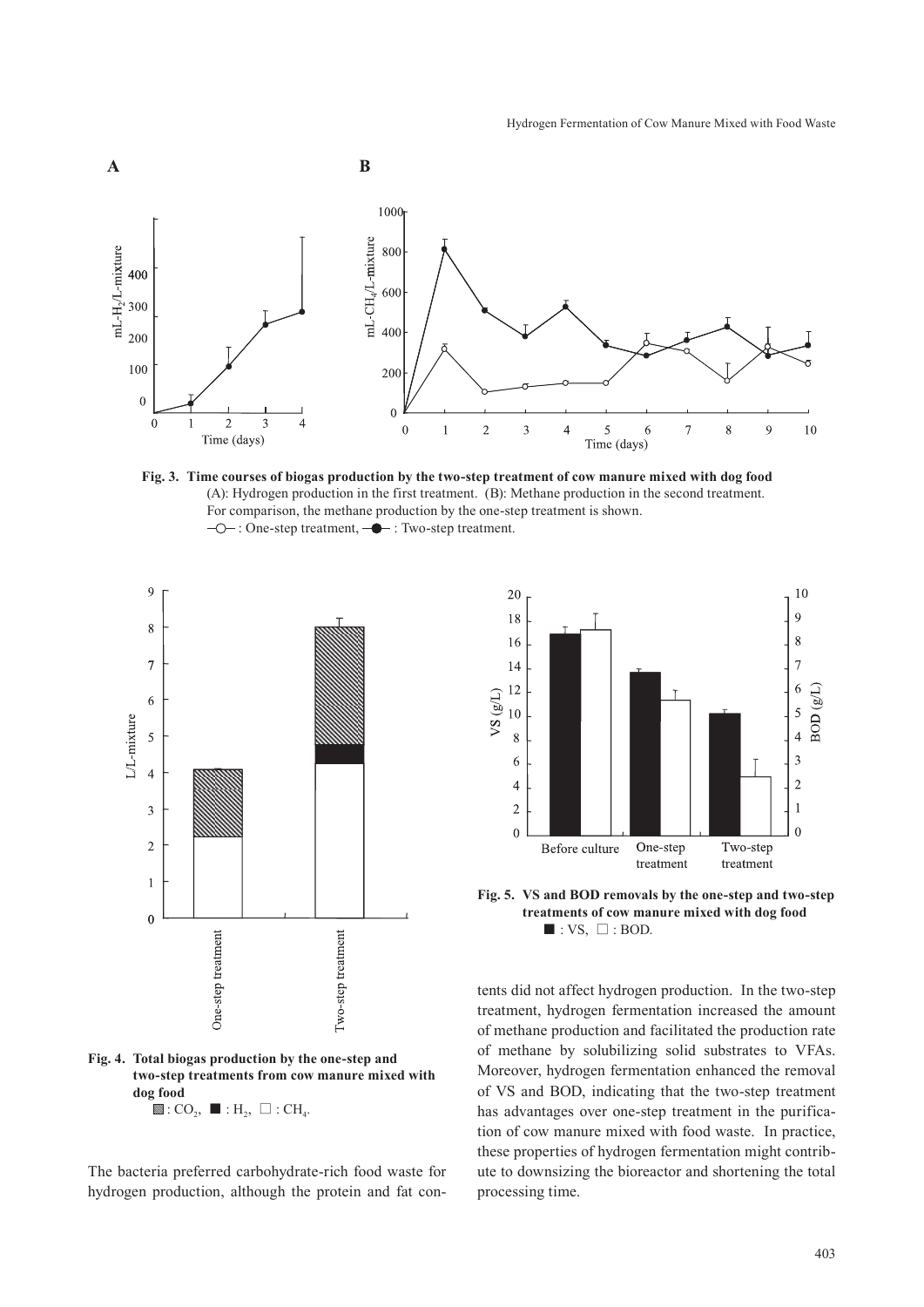

**Fig. 3. Time courses of biogas production by the two-step treatment of cow manure mixed with dog food**  (A): Hydrogen production in the first treatment. (B): Methane production in the second treatment. For comparison, the methane production by the one-step treatment is shown.  $\neg$  : One-step treatment,  $\neg$  : Two-step treatment.



**Fig. 4. Total biogas production by the one-step and two-step treatments from cow manure mixed with dog food**  $\mathbb{S}: CO<sub>2</sub>, \blacksquare : H<sub>2</sub>, \square : CH<sub>4</sub>.$ 

The bacteria preferred carbohydrate-rich food waste for hydrogen production, although the protein and fat con-



**Fig. 5. VS and BOD removals by the one-step and two-step treatments of cow manure mixed with dog food**  $\blacksquare$ : VS,  $\square$ : BOD.

tents did not affect hydrogen production. In the two-step treatment, hydrogen fermentation increased the amount of methane production and facilitated the production rate of methane by solubilizing solid substrates to VFAs. Moreover, hydrogen fermentation enhanced the removal of VS and BOD, indicating that the two-step treatment has advantages over one-step treatment in the purification of cow manure mixed with food waste. In practice, these properties of hydrogen fermentation might contribute to downsizing the bioreactor and shortening the total processing time.